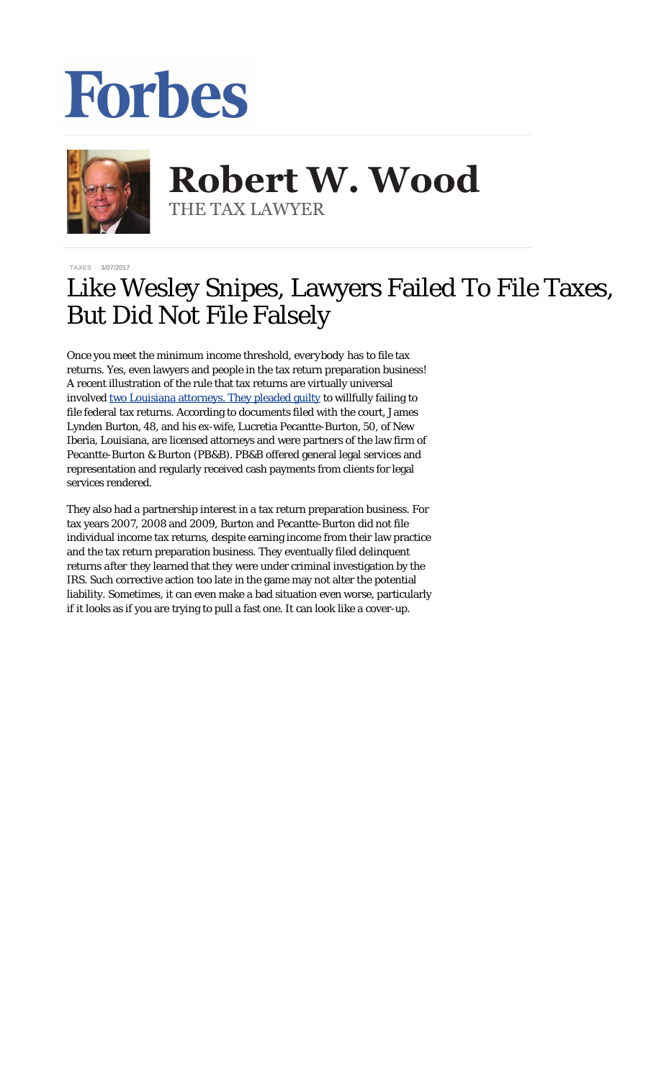## Forbes



**Robert W. Wood Robert W. Wood** THE TAX LAWYER THE TAX LAWYER

**[TAXES](https://www.forbes.com/taxes)** 3/07/2017

## Like Wesley Snipes, Lawyers Failed To File Taxes, But Did Not File Falsely

Once you meet the minimum income threshold, *everybody* has to file tax returns. Yes, even lawyers and people in the tax return preparation business! A recent illustration of the rule that tax returns are virtually universal involved <u>[two Louisiana attorneys. They pleaded guilty](https://www.justice.gov/opa/pr/louisiana-attorneys-plead-guilty-failure-file-tax-returns)</u> to willfully failing to file federal tax returns. According to documents filed with the court, James Lynden Burton, 48, and his ex-wife, Lucretia Pecantte-Burton, 50, of New Iberia, Louisiana, are licensed attorneys and were partners of the law firm of Pecantte-Burton & Burton (PB&B). PB&B offered general legal services and representation and regularly received cash payments from clients for legal services rendered.

They also had a partnership interest in a tax return preparation business. For tax years 2007, 2008 and 2009, Burton and Pecantte-Burton did not file individual income tax returns, despite earning income from their law practice and the tax return preparation business. They eventually filed delinquent returns *after* they learned that they were under criminal investigation by the IRS. Such corrective action too late in the game may not alter the potential liability. Sometimes, it can even make a bad situation even worse, particularly if it looks as if you are trying to pull a fast one. It can look like a cover-up.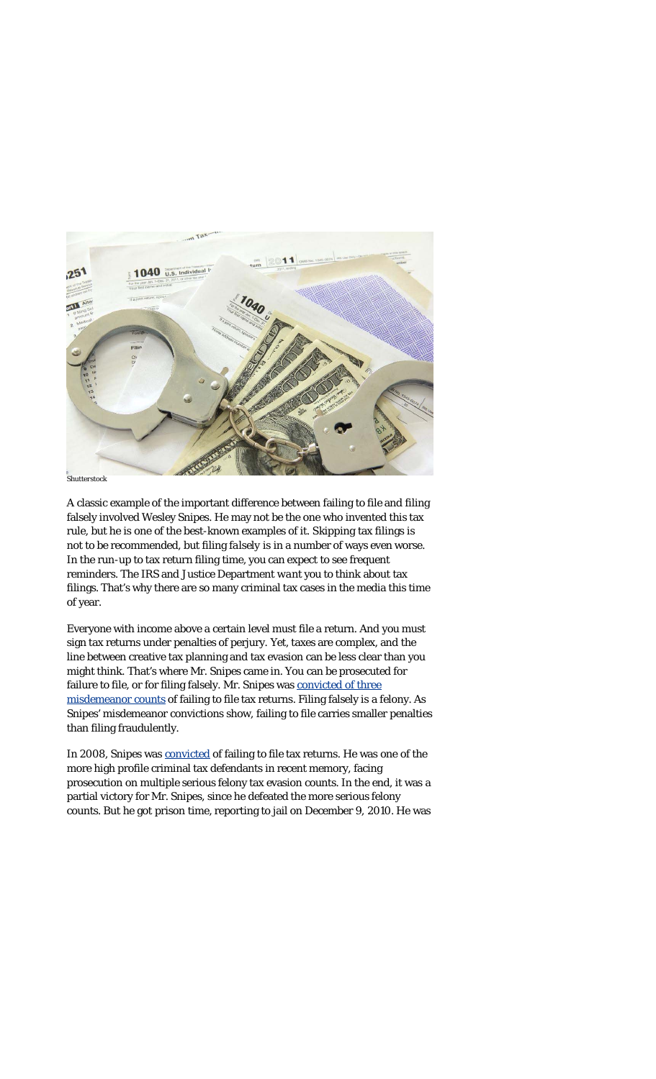

*Shutterstock*

A classic example of the important difference between failing to file and filing falsely involved Wesley Snipes. He may not be the one who invented this tax rule, but he is one of the best-known examples of it. S*kipping* tax filings is not to be recommended, but filing *falsely* is in a number of ways even worse. In the run-up to tax return filing time, you can expect to see frequent reminders. The IRS and Justice Department *want* you to think about tax filings. That's why there are so many criminal tax cases in the media this time of year.

Everyone with income above a certain level must file a return. And you must sign tax returns under penalties of perjury. Yet, taxes are complex, and the line between creative tax planning and tax evasion can be less clear than you might think. That's where Mr. Snipes came in. You can be prosecuted for failure to file, or for filing falsely. Mr. Snipes was [convicted of three](http://www.forbes.com/sites/williampbarrett/2011/03/02/jailed-wesley-snipes-appeals-his-tax-convictions-to-the-supremes/) [misdemeanor counts](http://www.forbes.com/sites/williampbarrett/2011/03/02/jailed-wesley-snipes-appeals-his-tax-convictions-to-the-supremes/) of failing to file tax returns. Filing falsely is a felony. As Snipes' misdemeanor convictions show, failing to file carries smaller penalties than filing fraudulently.

In 2008, Snipes was [convicted](http://www.forbes.com/sites/williampbarrett/2011/03/02/jailed-wesley-snipes-appeals-his-tax-convictions-to-the-supremes/) of failing to file tax returns. He was one of the more high profile criminal tax defendants in recent memory, facing prosecution on multiple serious felony tax evasion counts. In the end, it was a partial victory for Mr. Snipes, since he defeated the more serious felony counts. But he got prison time, reporting to jail on December 9, 2010. He was